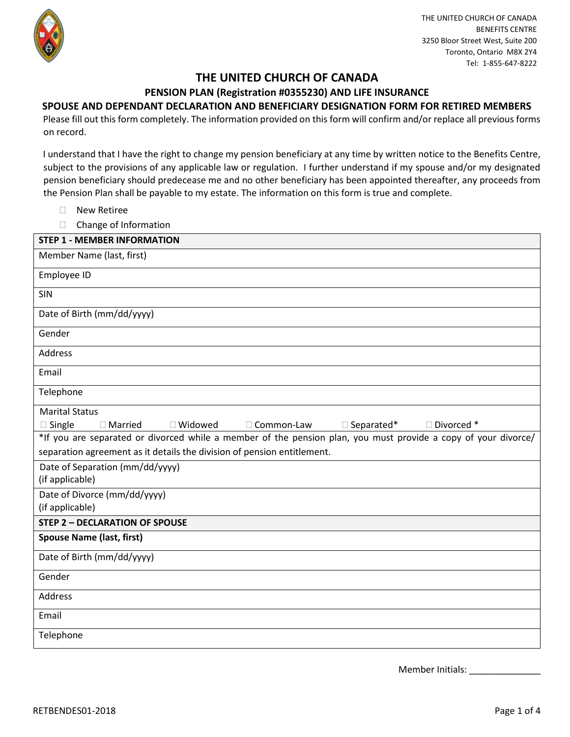

# **THE UNITED CHURCH OF CANADA**

# **PENSION PLAN (Registration #0355230) AND LIFE INSURANCE**

# **SPOUSE AND DEPENDANT DECLARATION AND BENEFICIARY DESIGNATION FORM FOR RETIRED MEMBERS**

Please fill out this form completely. The information provided on this form will confirm and/or replace all previous forms on record.

I understand that I have the right to change my pension beneficiary at any time by written notice to the Benefits Centre, subject to the provisions of any applicable law or regulation. I further understand if my spouse and/or my designated pension beneficiary should predecease me and no other beneficiary has been appointed thereafter, any proceeds from the Pension Plan shall be payable to my estate. The information on this form is true and complete.

- **New Retiree**
- □ Change of Information

| <b>STEP 1 - MEMBER INFORMATION</b>                                                                             |
|----------------------------------------------------------------------------------------------------------------|
| Member Name (last, first)                                                                                      |
| Employee ID                                                                                                    |
| SIN                                                                                                            |
| Date of Birth (mm/dd/yyyy)                                                                                     |
| Gender                                                                                                         |
| Address                                                                                                        |
| Email                                                                                                          |
| Telephone                                                                                                      |
| <b>Marital Status</b>                                                                                          |
| $\square$ Single<br>□ Widowed<br>$\Box$ Separated*<br>Divorced*<br>□ Common-Law<br>$\Box$ Married              |
| *If you are separated or divorced while a member of the pension plan, you must provide a copy of your divorce/ |
| separation agreement as it details the division of pension entitlement.                                        |
| Date of Separation (mm/dd/yyyy)                                                                                |
| (if applicable)                                                                                                |
| Date of Divorce (mm/dd/yyyy)                                                                                   |
| (if applicable)                                                                                                |
| <b>STEP 2 - DECLARATION OF SPOUSE</b>                                                                          |
| <b>Spouse Name (last, first)</b>                                                                               |
| Date of Birth (mm/dd/yyyy)                                                                                     |
| Gender                                                                                                         |
| Address                                                                                                        |
| Email                                                                                                          |
| Telephone                                                                                                      |

Member Initials: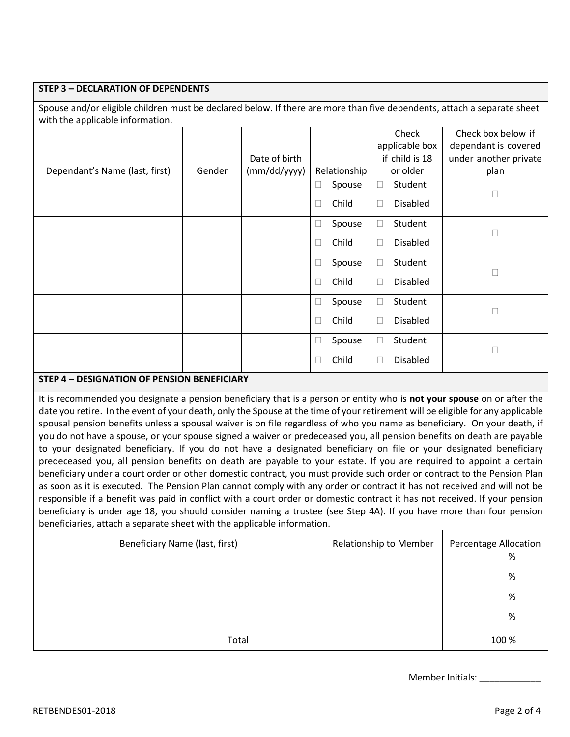### **STEP 3 – DECLARATION OF DEPENDENTS**

Spouse and/or eligible children must be declared below. If there are more than five dependents, attach a separate sheet with the applicable information.

|                                |        |               |              |                | Check          |                 | Check box below if    |          |      |
|--------------------------------|--------|---------------|--------------|----------------|----------------|-----------------|-----------------------|----------|------|
|                                |        |               |              |                | applicable box |                 | dependant is covered  |          |      |
|                                |        | Date of birth |              | if child is 18 |                |                 | under another private |          |      |
| Dependant's Name (last, first) | Gender | (mm/dd/yyyy)  | Relationship |                |                |                 |                       | or older | plan |
|                                |        |               | Ш            | Spouse         | $\Box$         | Student         |                       |          |      |
|                                |        |               | $\Box$       | Child          | $\Box$         | <b>Disabled</b> |                       |          |      |
|                                |        |               | $\Box$       | Spouse         | $\Box$         | Student         |                       |          |      |
|                                |        |               | $\Box$       | Child          | $\Box$         | <b>Disabled</b> | П                     |          |      |
|                                |        |               | Ш            | Spouse         | □              | Student         |                       |          |      |
|                                |        |               | $\Box$       | Child          | $\Box$         | <b>Disabled</b> | $\Box$                |          |      |
|                                |        |               | $\Box$       | Spouse         | 0              | Student         |                       |          |      |
|                                |        |               | □            | Child          | $\Box$         | <b>Disabled</b> | П                     |          |      |
|                                |        |               | $\Box$       | Spouse         | □              | Student         |                       |          |      |
|                                |        |               |              | Child          | $\Box$         | <b>Disabled</b> | Г                     |          |      |

# **STEP 4 – DESIGNATION OF PENSION BENEFICIARY**

It is recommended you designate a pension beneficiary that is a person or entity who is **not your spouse** on or after the date you retire. In the event of your death, only the Spouse at the time of your retirement will be eligible for any applicable spousal pension benefits unless a spousal waiver is on file regardless of who you name as beneficiary. On your death, if you do not have a spouse, or your spouse signed a waiver or predeceased you, all pension benefits on death are payable to your designated beneficiary. If you do not have a designated beneficiary on file or your designated beneficiary predeceased you, all pension benefits on death are payable to your estate. If you are required to appoint a certain beneficiary under a court order or other domestic contract, you must provide such order or contract to the Pension Plan as soon as it is executed. The Pension Plan cannot comply with any order or contract it has not received and will not be responsible if a benefit was paid in conflict with a court order or domestic contract it has not received. If your pension beneficiary is under age 18, you should consider naming a trustee (see Step 4A). If you have more than four pension beneficiaries, attach a separate sheet with the applicable information.

| Beneficiary Name (last, first) | <b>Relationship to Member</b> | <b>Percentage Allocation</b> |
|--------------------------------|-------------------------------|------------------------------|
|                                |                               | %                            |
|                                |                               | %                            |
|                                |                               | %                            |
|                                |                               | %                            |
| Total                          |                               | 100 %                        |

Member Initials: \_\_\_\_\_\_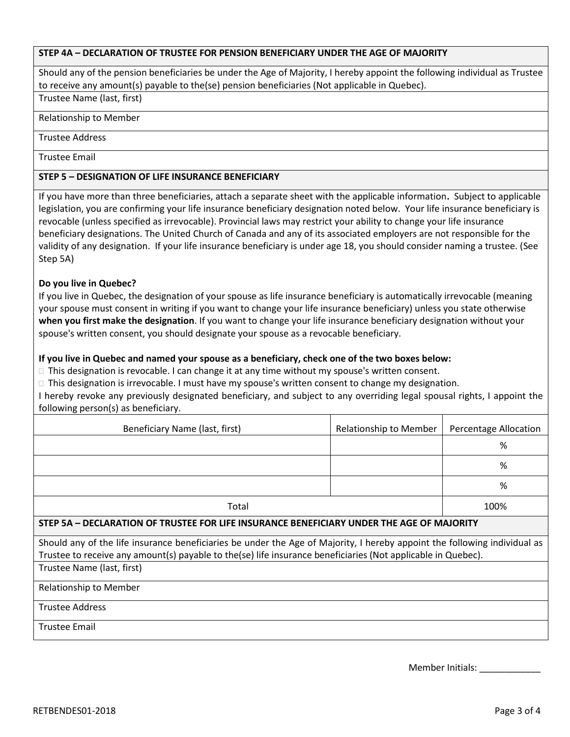### **STEP 4A – DECLARATION OF TRUSTEE FOR PENSION BENEFICIARY UNDER THE AGE OF MAJORITY**

Should any of the pension beneficiaries be under the Age of Majority, I hereby appoint the following individual as Trustee to receive any amount(s) payable to the(se) pension beneficiaries (Not applicable in Quebec).

Trustee Name (last, first)

#### Relationship to Member

#### Trustee Address

Trustee Email

### **STEP 5 – DESIGNATION OF LIFE INSURANCE BENEFICIARY**

If you have more than three beneficiaries, attach a separate sheet with the applicable information**.** Subject to applicable legislation, you are confirming your life insurance beneficiary designation noted below. Your life insurance beneficiary is revocable (unless specified as irrevocable). Provincial laws may restrict your ability to change your life insurance beneficiary designations. The United Church of Canada and any of its associated employers are not responsible for the validity of any designation.If your life insurance beneficiary is under age 18, you should consider naming a trustee. (See Step 5A)

## **Do you live in Quebec?**

If you live in Quebec, the designation of your spouse as life insurance beneficiary is automatically irrevocable (meaning your spouse must consent in writing if you want to change your life insurance beneficiary) unless you state otherwise **when you first make the designation**. If you want to change your life insurance beneficiary designation without your spouse's written consent, you should designate your spouse as a revocable beneficiary.

#### **If you live in Quebec and named your spouse as a beneficiary, check one of the two boxes below:**

 $\Box$  This designation is revocable. I can change it at any time without my spouse's written consent.

□ This designation is irrevocable. I must have my spouse's written consent to change my designation.

I hereby revoke any previously designated beneficiary, and subject to any overriding legal spousal rights, I appoint the following person(s) as beneficiary.

| Beneficiary Name (last, first)                                                                                            | <b>Relationship to Member</b> | Percentage Allocation |  |  |  |
|---------------------------------------------------------------------------------------------------------------------------|-------------------------------|-----------------------|--|--|--|
|                                                                                                                           |                               | %                     |  |  |  |
|                                                                                                                           |                               | %                     |  |  |  |
|                                                                                                                           |                               | %                     |  |  |  |
| Total                                                                                                                     | 100%                          |                       |  |  |  |
| STEP 5A - DECLARATION OF TRUSTEE FOR LIFE INSURANCE BENEFICIARY UNDER THE AGE OF MAJORITY                                 |                               |                       |  |  |  |
| Should any of the life insurance beneficiaries be under the Age of Majority, I hereby appoint the following individual as |                               |                       |  |  |  |

Trustee to receive any amount(s) payable to the(se) life insurance beneficiaries (Not applicable in Quebec).

Trustee Name (last, first)

Relationship to Member

Trustee Address

Trustee Email

Member Initials: